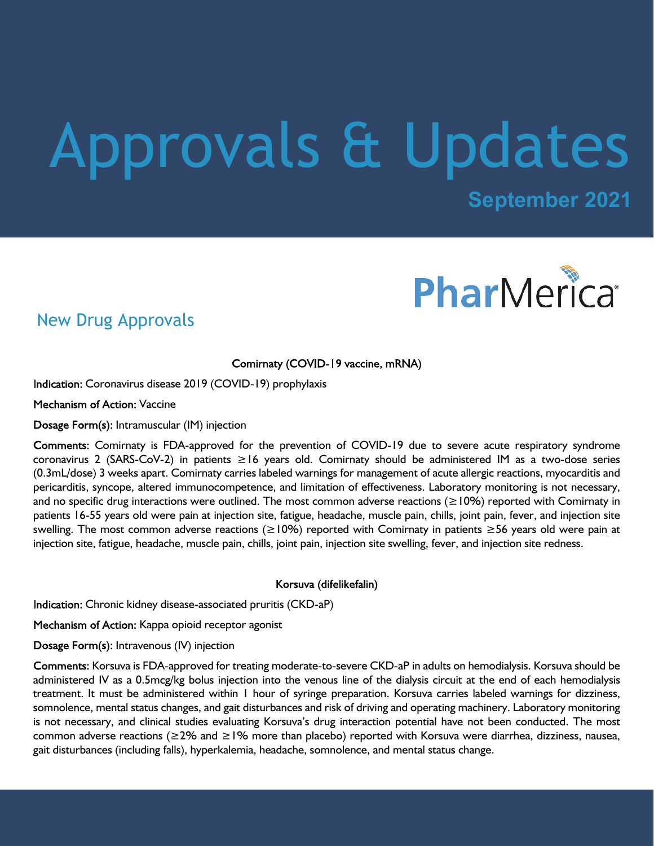# Approvals & Updates

**September 2021**



## New Drug Approvals

Comirnaty (COVID-19 vaccine, mRNA)

Indication: Coronavirus disease 2019 (COVID-19) prophylaxis

Mechanism of Action: Vaccine

Dosage Form(s): Intramuscular (IM) injection

Comments: Comirnaty is FDA-approved for the prevention of COVID-19 due to severe acute respiratory syndrome coronavirus 2 (SARS-CoV-2) in patients ≥16 years old. Comirnaty should be administered IM as a two-dose series (0.3mL/dose) 3 weeks apart. Comirnaty carries labeled warnings for management of acute allergic reactions, myocarditis and pericarditis, syncope, altered immunocompetence, and limitation of effectiveness. Laboratory monitoring is not necessary, and no specific drug interactions were outlined. The most common adverse reactions (≥10%) reported with Comirnaty in patients 16-55 years old were pain at injection site, fatigue, headache, muscle pain, chills, joint pain, fever, and injection site swelling. The most common adverse reactions (≥10%) reported with Comirnaty in patients ≥56 years old were pain at injection site, fatigue, headache, muscle pain, chills, joint pain, injection site swelling, fever, and injection site redness.

Korsuva (difelikefalin)

Indication: Chronic kidney disease-associated pruritis (CKD-aP)

Mechanism of Action: Kappa opioid receptor agonist

Dosage Form(s): Intravenous (IV) injection

Comments: Korsuva is FDA-approved for treating moderate-to-severe CKD-aP in adults on hemodialysis. Korsuva should be administered IV as a 0.5mcg/kg bolus injection into the venous line of the dialysis circuit at the end of each hemodialysis treatment. It must be administered within 1 hour of syringe preparation. Korsuva carries labeled warnings for dizziness, somnolence, mental status changes, and gait disturbances and risk of driving and operating machinery. Laboratory monitoring is not necessary, and clinical studies evaluating Korsuva's drug interaction potential have not been conducted. The most common adverse reactions (≥2% and ≥1% more than placebo) reported with Korsuva were diarrhea, dizziness, nausea, gait disturbances (including falls), hyperkalemia, headache, somnolence, and mental status change.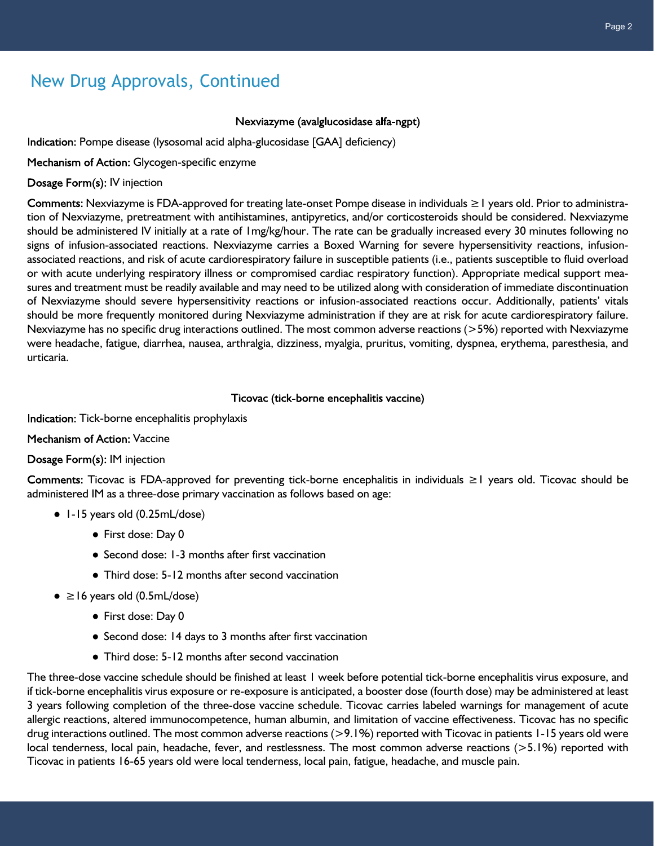## New Drug Approvals, Continued

#### Nexviazyme (avalglucosidase alfa-ngpt)

Indication: Pompe disease (lysosomal acid alpha-glucosidase [GAA] deficiency)

Mechanism of Action: Glycogen-specific enzyme

Dosage Form(s): IV injection

Comments: Nexviazyme is FDA-approved for treating late-onset Pompe disease in individuals ≥1 years old. Prior to administration of Nexviazyme, pretreatment with antihistamines, antipyretics, and/or corticosteroids should be considered. Nexviazyme should be administered IV initially at a rate of 1mg/kg/hour. The rate can be gradually increased every 30 minutes following no signs of infusion-associated reactions. Nexviazyme carries a Boxed Warning for severe hypersensitivity reactions, infusionassociated reactions, and risk of acute cardiorespiratory failure in susceptible patients (i.e., patients susceptible to fluid overload or with acute underlying respiratory illness or compromised cardiac respiratory function). Appropriate medical support measures and treatment must be readily available and may need to be utilized along with consideration of immediate discontinuation of Nexviazyme should severe hypersensitivity reactions or infusion-associated reactions occur. Additionally, patients' vitals should be more frequently monitored during Nexviazyme administration if they are at risk for acute cardiorespiratory failure. Nexviazyme has no specific drug interactions outlined. The most common adverse reactions (>5%) reported with Nexviazyme were headache, fatigue, diarrhea, nausea, arthralgia, dizziness, myalgia, pruritus, vomiting, dyspnea, erythema, paresthesia, and urticaria.

#### Ticovac (tick-borne encephalitis vaccine)

Indication: Tick-borne encephalitis prophylaxis

Mechanism of Action: Vaccine

#### Dosage Form(s): IM injection

Ticovac is FDA-approved for preventing tick-borne encephalitis in individuals ≥1 years old. Ticovac should be administered IM as a three-dose primary vaccination as follows based on age:

- 1-15 years old (0.25mL/dose)
	- First dose: Day 0
	- Second dose: 1-3 months after first vaccination
	- Third dose: 5-12 months after second vaccination
- $\bullet \geq 16$  years old (0.5mL/dose)
	- First dose: Day 0
	- Second dose: 14 days to 3 months after first vaccination
	- Third dose: 5-12 months after second vaccination

The three-dose vaccine schedule should be finished at least 1 week before potential tick-borne encephalitis virus exposure, and if tick-borne encephalitis virus exposure or re-exposure is anticipated, a booster dose (fourth dose) may be administered at least 3 years following completion of the three-dose vaccine schedule. Ticovac carries labeled warnings for management of acute allergic reactions, altered immunocompetence, human albumin, and limitation of vaccine effectiveness. Ticovac has no specific drug interactions outlined. The most common adverse reactions (>9.1%) reported with Ticovac in patients 1-15 years old were local tenderness, local pain, headache, fever, and restlessness. The most common adverse reactions (>5.1%) reported with Ticovac in patients 16-65 years old were local tenderness, local pain, fatigue, headache, and muscle pain.